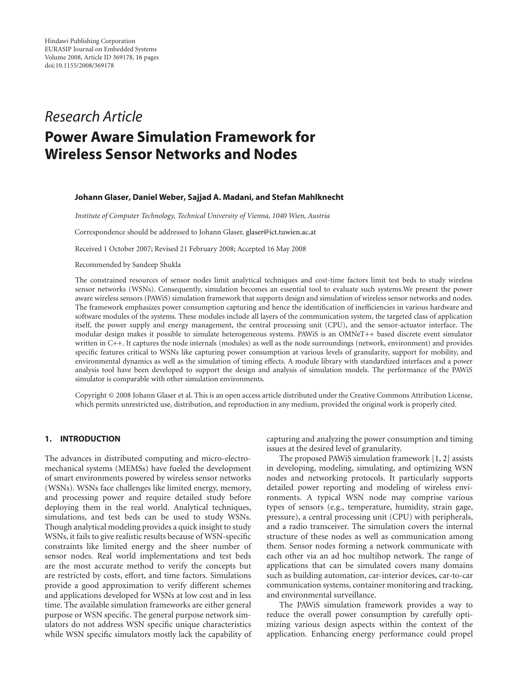## *Research Article*

# **Power Aware Simulation Framework for Wireless Sensor Networks and Nodes**

## **Johann Glaser, Daniel Weber, Sajjad A. Madani, and Stefan Mahlknecht**

*Institute of Computer Technology, Technical University of Vienna, 1040 Wien, Austria*

Correspondence should be addressed to Johann Glaser, glaser@ict.tuwien.ac.at

Received 1 October 2007; Revised 21 February 2008; Accepted 16 May 2008

#### Recommended by Sandeep Shukla

The constrained resources of sensor nodes limit analytical techniques and cost-time factors limit test beds to study wireless sensor networks (WSNs). Consequently, simulation becomes an essential tool to evaluate such systems.We present the power aware wireless sensors (PAWiS) simulation framework that supports design and simulation of wireless sensor networks and nodes. The framework emphasizes power consumption capturing and hence the identification of inefficiencies in various hardware and software modules of the systems. These modules include all layers of the communication system, the targeted class of application itself, the power supply and energy management, the central processing unit (CPU), and the sensor-actuator interface. The modular design makes it possible to simulate heterogeneous systems. PAWiS is an OMNeT++ based discrete event simulator written in C++. It captures the node internals (modules) as well as the node surroundings (network, environment) and provides specific features critical to WSNs like capturing power consumption at various levels of granularity, support for mobility, and environmental dynamics as well as the simulation of timing effects. A module library with standardized interfaces and a power analysis tool have been developed to support the design and analysis of simulation models. The performance of the PAWiS simulator is comparable with other simulation environments.

Copyright © 2008 Johann Glaser et al. This is an open access article distributed under the Creative Commons Attribution License, which permits unrestricted use, distribution, and reproduction in any medium, provided the original work is properly cited.

## **1. INTRODUCTION**

The advances in distributed computing and micro-electromechanical systems (MEMSs) have fueled the development of smart environments powered by wireless sensor networks (WSNs). WSNs face challenges like limited energy, memory, and processing power and require detailed study before deploying them in the real world. Analytical techniques, simulations, and test beds can be used to study WSNs. Though analytical modeling provides a quick insight to study WSNs, it fails to give realistic results because of WSN-specific constraints like limited energy and the sheer number of sensor nodes. Real world implementations and test beds are the most accurate method to verify the concepts but are restricted by costs, effort, and time factors. Simulations provide a good approximation to verify different schemes and applications developed for WSNs at low cost and in less time. The available simulation frameworks are either general purpose or WSN specific. The general purpose network simulators do not address WSN specific unique characteristics while WSN specific simulators mostly lack the capability of capturing and analyzing the power consumption and timing issues at the desired level of granularity.

The proposed PAWiS simulation framework [1, 2] assists in developing, modeling, simulating, and optimizing WSN nodes and networking protocols. It particularly supports detailed power reporting and modeling of wireless environments. A typical WSN node may comprise various types of sensors (e.g., temperature, humidity, strain gage, pressure), a central processing unit (CPU) with peripherals, and a radio transceiver. The simulation covers the internal structure of these nodes as well as communication among them. Sensor nodes forming a network communicate with each other via an ad hoc multihop network. The range of applications that can be simulated covers many domains such as building automation, car-interior devices, car-to-car communication systems, container monitoring and tracking, and environmental surveillance.

The PAWiS simulation framework provides a way to reduce the overall power consumption by carefully optimizing various design aspects within the context of the application. Enhancing energy performance could propel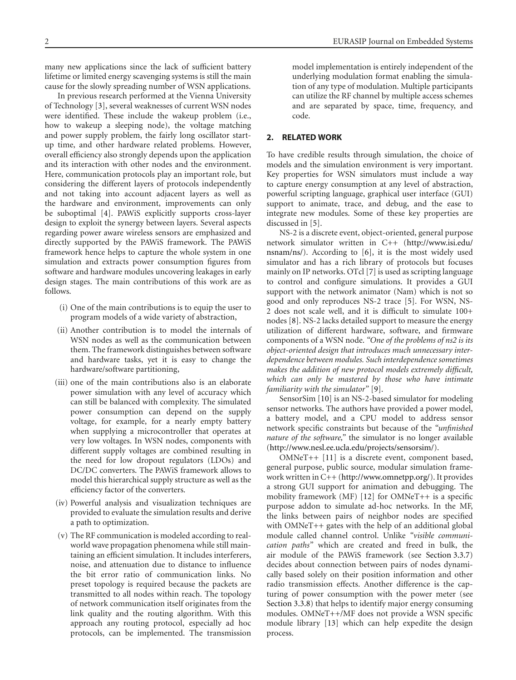many new applications since the lack of sufficient battery lifetime or limited energy scavenging systems is still the main cause for the slowly spreading number of WSN applications.

In previous research performed at the Vienna University of Technology [3], several weaknesses of current WSN nodes were identified. These include the wakeup problem (i.e., how to wakeup a sleeping node), the voltage matching and power supply problem, the fairly long oscillator startup time, and other hardware related problems. However, overall efficiency also strongly depends upon the application and its interaction with other nodes and the environment. Here, communication protocols play an important role, but considering the different layers of protocols independently and not taking into account adjacent layers as well as the hardware and environment, improvements can only be suboptimal [4]. PAWiS explicitly supports cross-layer design to exploit the synergy between layers. Several aspects regarding power aware wireless sensors are emphasized and directly supported by the PAWiS framework. The PAWiS framework hence helps to capture the whole system in one simulation and extracts power consumption figures from software and hardware modules uncovering leakages in early design stages. The main contributions of this work are as follows.

- (i) One of the main contributions is to equip the user to program models of a wide variety of abstraction,
- (ii) Another contribution is to model the internals of WSN nodes as well as the communication between them. The framework distinguishes between software and hardware tasks, yet it is easy to change the hardware/software partitioning,
- (iii) one of the main contributions also is an elaborate power simulation with any level of accuracy which can still be balanced with complexity. The simulated power consumption can depend on the supply voltage, for example, for a nearly empty battery when supplying a microcontroller that operates at very low voltages. In WSN nodes, components with different supply voltages are combined resulting in the need for low dropout regulators (LDOs) and DC/DC converters. The PAWiS framework allows to model this hierarchical supply structure as well as the efficiency factor of the converters.
- (iv) Powerful analysis and visualization techniques are provided to evaluate the simulation results and derive a path to optimization.
- (v) The RF communication is modeled according to realworld wave propagation phenomena while still maintaining an efficient simulation. It includes interferers, noise, and attenuation due to distance to influence the bit error ratio of communication links. No preset topology is required because the packets are transmitted to all nodes within reach. The topology of network communication itself originates from the link quality and the routing algorithm. With this approach any routing protocol, especially ad hoc protocols, can be implemented. The transmission

model implementation is entirely independent of the underlying modulation format enabling the simulation of any type of modulation. Multiple participants can utilize the RF channel by multiple access schemes and are separated by space, time, frequency, and code.

## **2. RELATED WORK**

To have credible results through simulation, the choice of models and the simulation environment is very important. Key properties for WSN simulators must include a way to capture energy consumption at any level of abstraction, powerful scripting language, graphical user interface (GUI) support to animate, trace, and debug, and the ease to integrate new modules. Some of these key properties are discussed in [5].

NS-2 is a discrete event, object-oriented, general purpose network simulator written in C++ (http://www.isi.edu/ nsnam/ns/). According to [6], it is the most widely used simulator and has a rich library of protocols but focuses mainly on IP networks. OTcl [7] is used as scripting language to control and configure simulations. It provides a GUI support with the network animator (Nam) which is not so good and only reproduces NS-2 trace [5]. For WSN, NS-2 does not scale well, and it is difficult to simulate 100+ nodes [8]. NS-2 lacks detailed support to measure the energy utilization of different hardware, software, and firmware components of a WSN node. *"One of the problems of ns2 is its object-oriented design that introduces much unnecessary interdependence between modules. Such interdependence sometimes makes the addition of new protocol models extremely difficult, which can only be mastered by those who have intimate familiarity with the simulator"* [9].

SensorSim [10] is an NS-2-based simulator for modeling sensor networks. The authors have provided a power model, a battery model, and a CPU model to address sensor network specific constraints but because of the *"unfinished nature of the software,"* the simulator is no longer available (http://www.nesl.ee.ucla.edu/projects/sensorsim/).

OMNeT++ [11] is a discrete event, component based, general purpose, public source, modular simulation framework written in C++ (http://www.omnetpp.org/). It provides a strong GUI support for animation and debugging. The mobility framework (MF) [12] for OMNeT++ is a specific purpose addon to simulate ad-hoc networks. In the MF, the links between pairs of neighbor nodes are specified with OMNeT++ gates with the help of an additional global module called channel control. Unlike *"visible communication paths"* which are created and freed in bulk, the air module of the PAWiS framework (see Section 3.3.7) decides about connection between pairs of nodes dynamically based solely on their position information and other radio transmission effects. Another difference is the capturing of power consumption with the power meter (see Section 3.3.8) that helps to identify major energy consuming modules. OMNeT++/MF does not provide a WSN specific module library [13] which can help expedite the design process.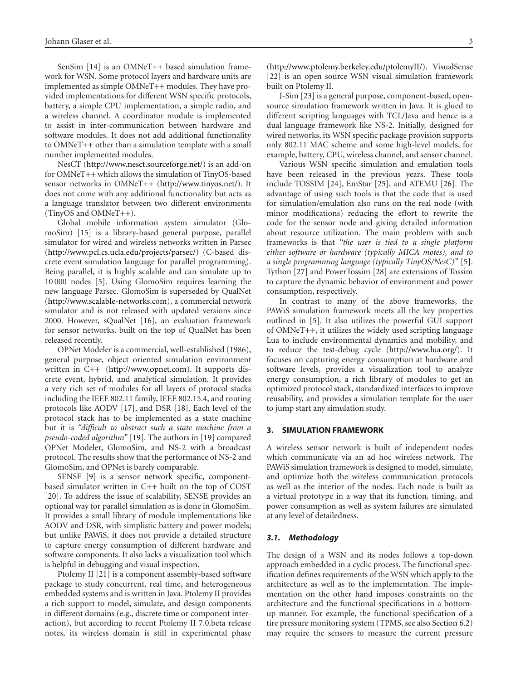SenSim [14] is an OMNeT++ based simulation framework for WSN. Some protocol layers and hardware units are implemented as simple OMNeT++ modules. They have provided implementations for different WSN specific protocols, battery, a simple CPU implementation, a simple radio, and a wireless channel. A coordinator module is implemented to assist in inter-communication between hardware and software modules. It does not add additional functionality to OMNeT++ other than a simulation template with a small number implemented modules.

NesCT (http://www.nesct.sourceforge.net/) is an add-on for OMNeT++ which allows the simulation of TinyOS-based sensor networks in OMNeT++ (http://www.tinyos.net/). It does not come with any additional functionality but acts as a language translator between two different environments (TinyOS and OMNeT++).

Global mobile information system simulator (GlomoSim) [15] is a library-based general purpose, parallel simulator for wired and wireless networks written in Parsec (http://www.pcl.cs.ucla.edu/projects/parsec/) (C-based discrete event simulation language for parallel programming). Being parallel, it is highly scalable and can simulate up to 10 000 nodes [5]. Using GlomoSim requires learning the new language Parsec. GlomoSim is superseded by QualNet (http://www.scalable-networks.com), a commercial network simulator and is not released with updated versions since 2000. However, sQualNet [16], an evaluation framework for sensor networks, built on the top of QualNet has been released recently.

OPNet Modeler is a commercial, well-established (1986), general purpose, object oriented simulation environment written in C++ (http://www.opnet.com). It supports discrete event, hybrid, and analytical simulation. It provides a very rich set of modules for all layers of protocol stacks including the IEEE 802.11 family, IEEE 802.15.4, and routing protocols like AODV [17], and DSR [18]. Each level of the protocol stack has to be implemented as a state machine but it is *"difficult to abstract such a state machine from a pseudo-coded algorithm"* [19]. The authors in [19] compared OPNet Modeler, GlomoSim, and NS-2 with a broadcast protocol. The results show that the performance of NS-2 and GlomoSim, and OPNet is barely comparable.

SENSE [9] is a sensor network specific, componentbased simulator written in C++ built on the top of COST [20]. To address the issue of scalability, SENSE provides an optional way for parallel simulation as is done in GlomoSim. It provides a small library of module implementations like AODV and DSR, with simplistic battery and power models; but unlike PAWiS, it does not provide a detailed structure to capture energy consumption of different hardware and software components. It also lacks a visualization tool which is helpful in debugging and visual inspection.

Ptolemy II [21] is a component assembly-based software package to study concurrent, real time, and heterogeneous embedded systems and is written in Java. Ptolemy II provides a rich support to model, simulate, and design components in different domains (e.g., discrete time or component interaction), but according to recent Ptolemy II 7.0.beta release notes, its wireless domain is still in experimental phase (http://www.ptolemy.berkeley.edu/ptolemyII/). VisualSense [22] is an open source WSN visual simulation framework built on Ptolemy II.

J-Sim [23] is a general purpose, component-based, opensource simulation framework written in Java. It is glued to different scripting languages with TCL/Java and hence is a dual language framework like NS-2. Initially, designed for wired networks, its WSN specific package provision supports only 802.11 MAC scheme and some high-level models, for example, battery, CPU, wireless channel, and sensor channel.

Various WSN specific simulation and emulation tools have been released in the previous years. These tools include TOSSIM [24], EmStar [25], and ATEMU [26]. The advantage of using such tools is that the code that is used for simulation/emulation also runs on the real node (with minor modifications) reducing the effort to rewrite the code for the sensor node and giving detailed information about resource utilization. The main problem with such frameworks is that *"the user is tied to a single platform either software or hardware (typically MICA motes), and to a single programming language (typically TinyOS/NesC)"* [5]. Tython [27] and PowerTossim [28] are extensions of Tossim to capture the dynamic behavior of environment and power consumption, respectively.

In contrast to many of the above frameworks, the PAWiS simulation framework meets all the key properties outlined in [5]. It also utilizes the powerful GUI support of OMNeT++, it utilizes the widely used scripting language Lua to include environmental dynamics and mobility, and to reduce the test-debug cycle (http://www.lua.org/). It focuses on capturing energy consumption at hardware and software levels, provides a visualization tool to analyze energy consumption, a rich library of modules to get an optimized protocol stack, standardized interfaces to improve reusability, and provides a simulation template for the user to jump start any simulation study.

## **3. SIMULATION FRAMEWORK**

A wireless sensor network is built of independent nodes which communicate via an ad hoc wireless network. The PAWiS simulation framework is designed to model, simulate, and optimize both the wireless communication protocols as well as the interior of the nodes. Each node is built as a virtual prototype in a way that its function, timing, and power consumption as well as system failures are simulated at any level of detailedness.

#### *3.1. Methodology*

The design of a WSN and its nodes follows a top-down approach embedded in a cyclic process. The functional specification defines requirements of the WSN which apply to the architecture as well as to the implementation. The implementation on the other hand imposes constraints on the architecture and the functional specifications in a bottomup manner. For example, the functional specification of a tire pressure monitoring system (TPMS, see also Section 6.2) may require the sensors to measure the current pressure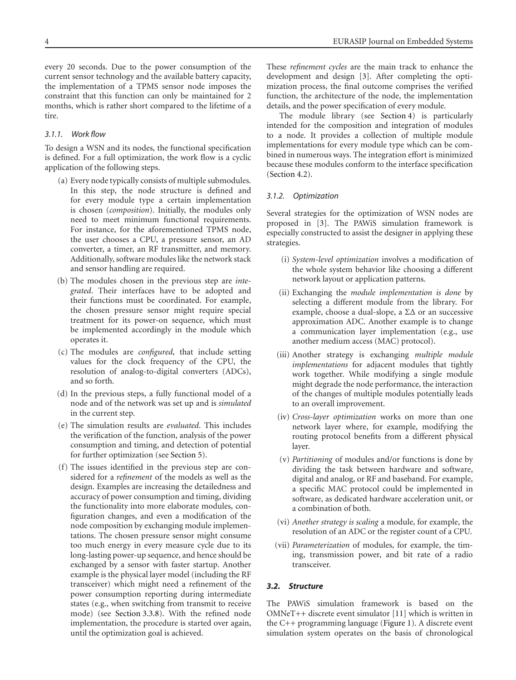every 20 seconds. Due to the power consumption of the current sensor technology and the available battery capacity, the implementation of a TPMS sensor node imposes the constraint that this function can only be maintained for 2 months, which is rather short compared to the lifetime of a tire.

## *3.1.1. Work flow*

To design a WSN and its nodes, the functional specification is defined. For a full optimization, the work flow is a cyclic application of the following steps.

- (a) Every node typically consists of multiple submodules. In this step, the node structure is defined and for every module type a certain implementation is chosen (*composition*). Initially, the modules only need to meet minimum functional requirements. For instance, for the aforementioned TPMS node, the user chooses a CPU, a pressure sensor, an AD converter, a timer, an RF transmitter, and memory. Additionally, software modules like the network stack and sensor handling are required.
- (b) The modules chosen in the previous step are *integrated*. Their interfaces have to be adopted and their functions must be coordinated. For example, the chosen pressure sensor might require special treatment for its power-on sequence, which must be implemented accordingly in the module which operates it.
- (c) The modules are *configured*, that include setting values for the clock frequency of the CPU, the resolution of analog-to-digital converters (ADCs), and so forth.
- (d) In the previous steps, a fully functional model of a node and of the network was set up and is *simulated* in the current step.
- (e) The simulation results are *evaluated*. This includes the verification of the function, analysis of the power consumption and timing, and detection of potential for further optimization (see Section 5).
- (f) The issues identified in the previous step are considered for a *refinement* of the models as well as the design. Examples are increasing the detailedness and accuracy of power consumption and timing, dividing the functionality into more elaborate modules, configuration changes, and even a modification of the node composition by exchanging module implementations. The chosen pressure sensor might consume too much energy in every measure cycle due to its long-lasting power-up sequence, and hence should be exchanged by a sensor with faster startup. Another example is the physical layer model (including the RF transceiver) which might need a refinement of the power consumption reporting during intermediate states (e.g., when switching from transmit to receive mode) (see Section 3.3.8). With the refined node implementation, the procedure is started over again, until the optimization goal is achieved.

These *refinement cycles* are the main track to enhance the development and design [3]. After completing the optimization process, the final outcome comprises the verified function, the architecture of the node, the implementation details, and the power specification of every module.

The module library (see Section 4) is particularly intended for the composition and integration of modules to a node. It provides a collection of multiple module implementations for every module type which can be combined in numerous ways. The integration effort is minimized because these modules conform to the interface specification (Section 4.2).

## *3.1.2. Optimization*

Several strategies for the optimization of WSN nodes are proposed in [3]. The PAWiS simulation framework is especially constructed to assist the designer in applying these strategies.

- (i) *System-level optimization* involves a modification of the whole system behavior like choosing a different network layout or application patterns.
- (ii) Exchanging the *module implementation is done* by selecting a different module from the library. For example, choose a dual-slope, a ΣΔ or an successive approximation ADC. Another example is to change a communication layer implementation (e.g., use another medium access (MAC) protocol).
- (iii) Another strategy is exchanging *multiple module implementations* for adjacent modules that tightly work together. While modifying a single module might degrade the node performance, the interaction of the changes of multiple modules potentially leads to an overall improvement.
- (iv) *Cross-layer optimization* works on more than one network layer where, for example, modifying the routing protocol benefits from a different physical layer.
- (v) *Partitioning* of modules and/or functions is done by dividing the task between hardware and software, digital and analog, or RF and baseband. For example, a specific MAC protocol could be implemented in software, as dedicated hardware acceleration unit, or a combination of both.
- (vi) *Another strategy is scaling* a module, for example, the resolution of an ADC or the register count of a CPU.
- (vii) *Parameterization* of modules, for example, the timing, transmission power, and bit rate of a radio transceiver.

## *3.2. Structure*

The PAWiS simulation framework is based on the OMNeT++ discrete event simulator [11] which is written in the C++ programming language (Figure 1). A discrete event simulation system operates on the basis of chronological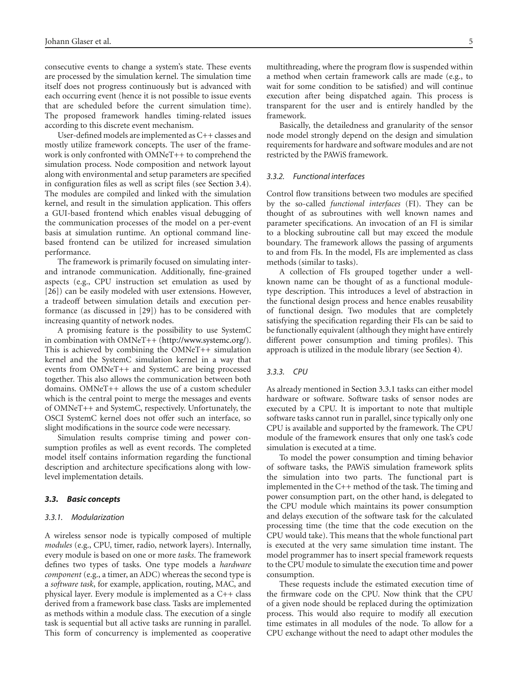consecutive events to change a system's state. These events are processed by the simulation kernel. The simulation time itself does not progress continuously but is advanced with each occurring event (hence it is not possible to issue events that are scheduled before the current simulation time). The proposed framework handles timing-related issues according to this discrete event mechanism.

User-defined models are implemented as C++ classes and mostly utilize framework concepts. The user of the framework is only confronted with OMNeT++ to comprehend the simulation process. Node composition and network layout along with environmental and setup parameters are specified in configuration files as well as script files (see Section 3.4). The modules are compiled and linked with the simulation kernel, and result in the simulation application. This offers a GUI-based frontend which enables visual debugging of the communication processes of the model on a per-event basis at simulation runtime. An optional command linebased frontend can be utilized for increased simulation performance.

The framework is primarily focused on simulating interand intranode communication. Additionally, fine-grained aspects (e.g., CPU instruction set emulation as used by [26]) can be easily modeled with user extensions. However, a tradeoff between simulation details and execution performance (as discussed in [29]) has to be considered with increasing quantity of network nodes.

A promising feature is the possibility to use SystemC in combination with OMNeT++ (http://www.systemc.org/). This is achieved by combining the OMNeT++ simulation kernel and the SystemC simulation kernel in a way that events from OMNeT++ and SystemC are being processed together. This also allows the communication between both domains. OMNeT++ allows the use of a custom scheduler which is the central point to merge the messages and events of OMNeT++ and SystemC, respectively. Unfortunately, the OSCI SystemC kernel does not offer such an interface, so slight modifications in the source code were necessary.

Simulation results comprise timing and power consumption profiles as well as event records. The completed model itself contains information regarding the functional description and architecture specifications along with lowlevel implementation details.

#### *3.3. Basic concepts*

#### *3.3.1. Modularization*

A wireless sensor node is typically composed of multiple *modules* (e.g., CPU, timer, radio, network layers). Internally, every module is based on one or more *tasks*. The framework defines two types of tasks. One type models a *hardware component* (e.g., a timer, an ADC) whereas the second type is a *software task*, for example, application, routing, MAC, and physical layer. Every module is implemented as a C++ class derived from a framework base class. Tasks are implemented as methods within a module class. The execution of a single task is sequential but all active tasks are running in parallel. This form of concurrency is implemented as cooperative multithreading, where the program flow is suspended within a method when certain framework calls are made (e.g., to wait for some condition to be satisfied) and will continue execution after being dispatched again. This process is transparent for the user and is entirely handled by the framework.

Basically, the detailedness and granularity of the sensor node model strongly depend on the design and simulation requirements for hardware and software modules and are not restricted by the PAWiS framework.

#### *3.3.2. Functional interfaces*

Control flow transitions between two modules are specified by the so-called *functional interfaces* (FI). They can be thought of as subroutines with well known names and parameter specifications. An invocation of an FI is similar to a blocking subroutine call but may exceed the module boundary. The framework allows the passing of arguments to and from FIs. In the model, FIs are implemented as class methods (similar to tasks).

A collection of FIs grouped together under a wellknown name can be thought of as a functional moduletype description. This introduces a level of abstraction in the functional design process and hence enables reusability of functional design. Two modules that are completely satisfying the specification regarding their FIs can be said to be functionally equivalent (although they might have entirely different power consumption and timing profiles). This approach is utilized in the module library (see Section 4).

#### *3.3.3. CPU*

As already mentioned in Section 3.3.1 tasks can either model hardware or software. Software tasks of sensor nodes are executed by a CPU. It is important to note that multiple software tasks cannot run in parallel, since typically only one CPU is available and supported by the framework. The CPU module of the framework ensures that only one task's code simulation is executed at a time.

To model the power consumption and timing behavior of software tasks, the PAWiS simulation framework splits the simulation into two parts. The functional part is implemented in the C++ method of the task. The timing and power consumption part, on the other hand, is delegated to the CPU module which maintains its power consumption and delays execution of the software task for the calculated processing time (the time that the code execution on the CPU would take). This means that the whole functional part is executed at the very same simulation time instant. The model programmer has to insert special framework requests to the CPU module to simulate the execution time and power consumption.

These requests include the estimated execution time of the firmware code on the CPU. Now think that the CPU of a given node should be replaced during the optimization process. This would also require to modify all execution time estimates in all modules of the node. To allow for a CPU exchange without the need to adapt other modules the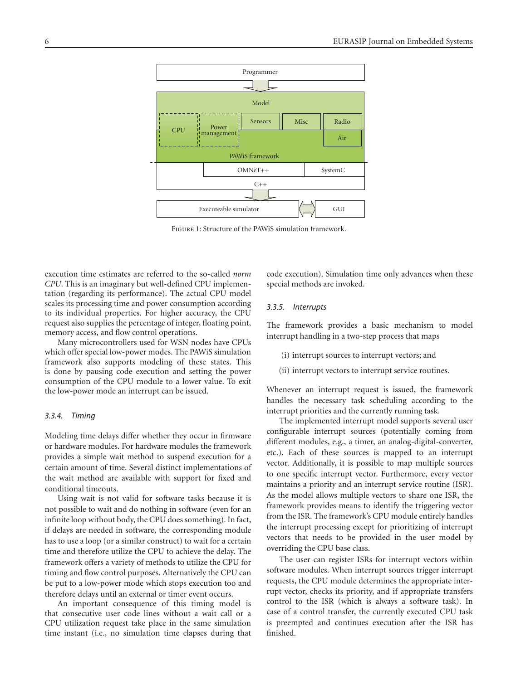

Figure 1: Structure of the PAWiS simulation framework.

execution time estimates are referred to the so-called *norm CPU*. This is an imaginary but well-defined CPU implementation (regarding its performance). The actual CPU model scales its processing time and power consumption according to its individual properties. For higher accuracy, the CPU request also supplies the percentage of integer, floating point, memory access, and flow control operations.

Many microcontrollers used for WSN nodes have CPUs which offer special low-power modes. The PAWiS simulation framework also supports modeling of these states. This is done by pausing code execution and setting the power consumption of the CPU module to a lower value. To exit the low-power mode an interrupt can be issued.

## *3.3.4. Timing*

Modeling time delays differ whether they occur in firmware or hardware modules. For hardware modules the framework provides a simple wait method to suspend execution for a certain amount of time. Several distinct implementations of the wait method are available with support for fixed and conditional timeouts.

Using wait is not valid for software tasks because it is not possible to wait and do nothing in software (even for an infinite loop without body, the CPU does something). In fact, if delays are needed in software, the corresponding module has to use a loop (or a similar construct) to wait for a certain time and therefore utilize the CPU to achieve the delay. The framework offers a variety of methods to utilize the CPU for timing and flow control purposes. Alternatively the CPU can be put to a low-power mode which stops execution too and therefore delays until an external or timer event occurs.

An important consequence of this timing model is that consecutive user code lines without a wait call or a CPU utilization request take place in the same simulation time instant (i.e., no simulation time elapses during that

code execution). Simulation time only advances when these special methods are invoked.

## *3.3.5. Interrupts*

The framework provides a basic mechanism to model interrupt handling in a two-step process that maps

- (i) interrupt sources to interrupt vectors; and
- (ii) interrupt vectors to interrupt service routines.

Whenever an interrupt request is issued, the framework handles the necessary task scheduling according to the interrupt priorities and the currently running task.

The implemented interrupt model supports several user configurable interrupt sources (potentially coming from different modules, e.g., a timer, an analog-digital-converter, etc.). Each of these sources is mapped to an interrupt vector. Additionally, it is possible to map multiple sources to one specific interrupt vector. Furthermore, every vector maintains a priority and an interrupt service routine (ISR). As the model allows multiple vectors to share one ISR, the framework provides means to identify the triggering vector from the ISR. The framework's CPU module entirely handles the interrupt processing except for prioritizing of interrupt vectors that needs to be provided in the user model by overriding the CPU base class.

The user can register ISRs for interrupt vectors within software modules. When interrupt sources trigger interrupt requests, the CPU module determines the appropriate interrupt vector, checks its priority, and if appropriate transfers control to the ISR (which is always a software task). In case of a control transfer, the currently executed CPU task is preempted and continues execution after the ISR has finished.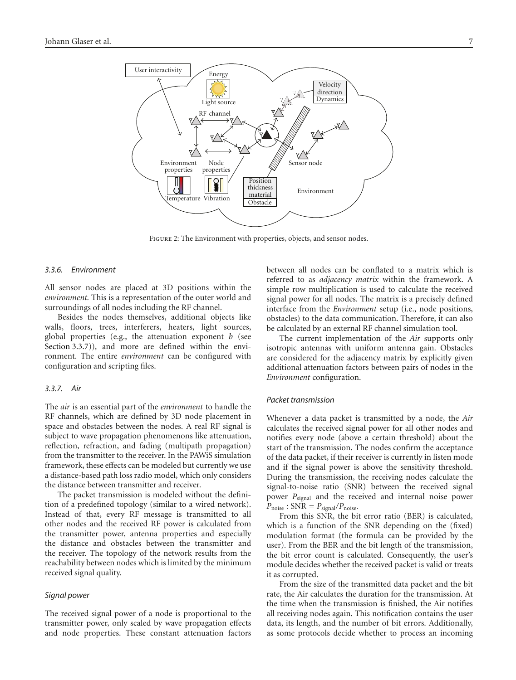

Figure 2: The Environment with properties, objects, and sensor nodes.

#### *3.3.6. Environment*

All sensor nodes are placed at 3D positions within the *environment*. This is a representation of the outer world and surroundings of all nodes including the RF channel.

Besides the nodes themselves, additional objects like walls, floors, trees, interferers, heaters, light sources, global properties (e.g., the attenuation exponent *b* (see Section 3.3.7)), and more are defined within the environment. The entire *environment* can be configured with configuration and scripting files.

## *3.3.7. Air*

The *air* is an essential part of the *environment* to handle the RF channels, which are defined by 3D node placement in space and obstacles between the nodes. A real RF signal is subject to wave propagation phenomenons like attenuation, reflection, refraction, and fading (multipath propagation) from the transmitter to the receiver. In the PAWiS simulation framework, these effects can be modeled but currently we use a distance-based path loss radio model, which only considers the distance between transmitter and receiver.

The packet transmission is modeled without the definition of a predefined topology (similar to a wired network). Instead of that, every RF message is transmitted to all other nodes and the received RF power is calculated from the transmitter power, antenna properties and especially the distance and obstacles between the transmitter and the receiver. The topology of the network results from the reachability between nodes which is limited by the minimum received signal quality.

#### *Signal power*

The received signal power of a node is proportional to the transmitter power, only scaled by wave propagation effects and node properties. These constant attenuation factors

between all nodes can be conflated to a matrix which is referred to as *adjacency matrix* within the framework. A simple row multiplication is used to calculate the received signal power for all nodes. The matrix is a precisely defined interface from the *Environment* setup (i.e., node positions, obstacles) to the data communication. Therefore, it can also be calculated by an external RF channel simulation tool.

The current implementation of the *Air* supports only isotropic antennas with uniform antenna gain. Obstacles are considered for the adjacency matrix by explicitly given additional attenuation factors between pairs of nodes in the *Environment* configuration.

#### *Packet transmission*

Whenever a data packet is transmitted by a node, the *Air* calculates the received signal power for all other nodes and notifies every node (above a certain threshold) about the start of the transmission. The nodes confirm the acceptance of the data packet, if their receiver is currently in listen mode and if the signal power is above the sensitivity threshold. During the transmission, the receiving nodes calculate the signal-to-noise ratio (SNR) between the received signal power *P*signal and the received and internal noise power  $P_{\text{noise}}$ :  $SNR = P_{\text{signal}}/P_{\text{noise}}$ .

From this SNR, the bit error ratio (BER) is calculated, which is a function of the SNR depending on the (fixed) modulation format (the formula can be provided by the user). From the BER and the bit length of the transmission, the bit error count is calculated. Consequently, the user's module decides whether the received packet is valid or treats it as corrupted.

From the size of the transmitted data packet and the bit rate, the Air calculates the duration for the transmission. At the time when the transmission is finished, the Air notifies all receiving nodes again. This notification contains the user data, its length, and the number of bit errors. Additionally, as some protocols decide whether to process an incoming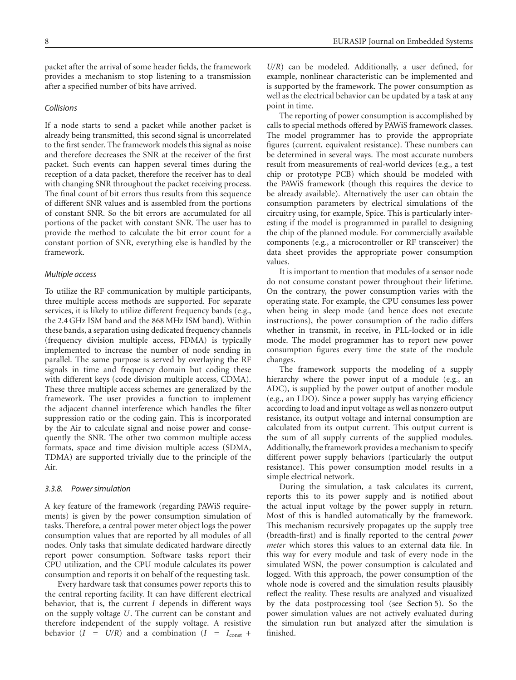packet after the arrival of some header fields, the framework provides a mechanism to stop listening to a transmission after a specified number of bits have arrived.

#### *Collisions*

If a node starts to send a packet while another packet is already being transmitted, this second signal is uncorrelated to the first sender. The framework models this signal as noise and therefore decreases the SNR at the receiver of the first packet. Such events can happen several times during the reception of a data packet, therefore the receiver has to deal with changing SNR throughout the packet receiving process. The final count of bit errors thus results from this sequence of different SNR values and is assembled from the portions of constant SNR. So the bit errors are accumulated for all portions of the packet with constant SNR. The user has to provide the method to calculate the bit error count for a constant portion of SNR, everything else is handled by the framework.

## *Multiple access*

To utilize the RF communication by multiple participants, three multiple access methods are supported. For separate services, it is likely to utilize different frequency bands (e.g., the 2.4 GHz ISM band and the 868 MHz ISM band). Within these bands, a separation using dedicated frequency channels (frequency division multiple access, FDMA) is typically implemented to increase the number of node sending in parallel. The same purpose is served by overlaying the RF signals in time and frequency domain but coding these with different keys (code division multiple access, CDMA). These three multiple access schemes are generalized by the framework. The user provides a function to implement the adjacent channel interference which handles the filter suppression ratio or the coding gain. This is incorporated by the Air to calculate signal and noise power and consequently the SNR. The other two common multiple access formats, space and time division multiple access (SDMA, TDMA) are supported trivially due to the principle of the Air.

#### *3.3.8. Power simulation*

A key feature of the framework (regarding PAWiS requirements) is given by the power consumption simulation of tasks. Therefore, a central power meter object logs the power consumption values that are reported by all modules of all nodes. Only tasks that simulate dedicated hardware directly report power consumption. Software tasks report their CPU utilization, and the CPU module calculates its power consumption and reports it on behalf of the requesting task.

Every hardware task that consumes power reports this to the central reporting facility. It can have different electrical behavior, that is, the current *I* depends in different ways on the supply voltage *U*. The current can be constant and therefore independent of the supply voltage. A resistive behavior  $(I = U/R)$  and a combination  $(I = I_{const} + I)$ 

*U/R*) can be modeled. Additionally, a user defined, for example, nonlinear characteristic can be implemented and is supported by the framework. The power consumption as well as the electrical behavior can be updated by a task at any point in time.

The reporting of power consumption is accomplished by calls to special methods offered by PAWiS framework classes. The model programmer has to provide the appropriate figures (current, equivalent resistance). These numbers can be determined in several ways. The most accurate numbers result from measurements of real-world devices (e.g., a test chip or prototype PCB) which should be modeled with the PAWiS framework (though this requires the device to be already available). Alternatively the user can obtain the consumption parameters by electrical simulations of the circuitry using, for example, Spice. This is particularly interesting if the model is programmed in parallel to designing the chip of the planned module. For commercially available components (e.g., a microcontroller or RF transceiver) the data sheet provides the appropriate power consumption values.

It is important to mention that modules of a sensor node do not consume constant power throughout their lifetime. On the contrary, the power consumption varies with the operating state. For example, the CPU consumes less power when being in sleep mode (and hence does not execute instructions), the power consumption of the radio differs whether in transmit, in receive, in PLL-locked or in idle mode. The model programmer has to report new power consumption figures every time the state of the module changes.

The framework supports the modeling of a supply hierarchy where the power input of a module (e.g., an ADC), is supplied by the power output of another module (e.g., an LDO). Since a power supply has varying efficiency according to load and input voltage as well as nonzero output resistance, its output voltage and internal consumption are calculated from its output current. This output current is the sum of all supply currents of the supplied modules. Additionally, the framework provides a mechanism to specify different power supply behaviors (particularly the output resistance). This power consumption model results in a simple electrical network.

During the simulation, a task calculates its current, reports this to its power supply and is notified about the actual input voltage by the power supply in return. Most of this is handled automatically by the framework. This mechanism recursively propagates up the supply tree (breadth-first) and is finally reported to the central *power meter* which stores this values to an external data file. In this way for every module and task of every node in the simulated WSN, the power consumption is calculated and logged. With this approach, the power consumption of the whole node is covered and the simulation results plausibly reflect the reality. These results are analyzed and visualized by the data postprocessing tool (see Section 5). So the power simulation values are not actively evaluated during the simulation run but analyzed after the simulation is finished.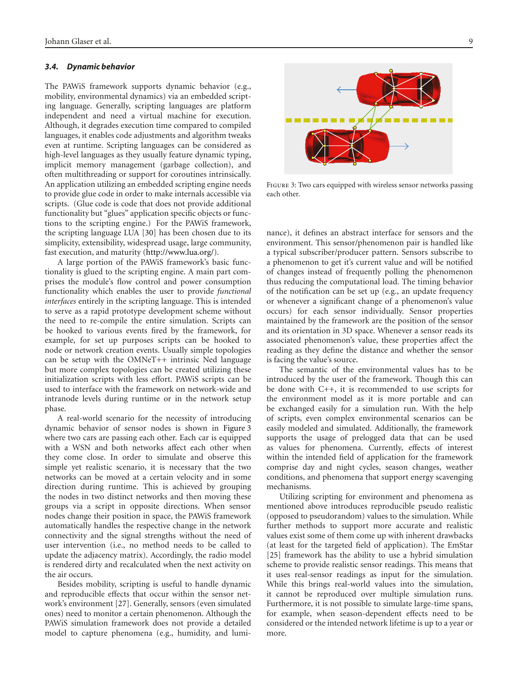#### *3.4. Dynamic behavior*

The PAWiS framework supports dynamic behavior (e.g., mobility, environmental dynamics) via an embedded scripting language. Generally, scripting languages are platform independent and need a virtual machine for execution. Although, it degrades execution time compared to compiled languages, it enables code adjustments and algorithm tweaks even at runtime. Scripting languages can be considered as high-level languages as they usually feature dynamic typing, implicit memory management (garbage collection), and often multithreading or support for coroutines intrinsically. An application utilizing an embedded scripting engine needs to provide glue code in order to make internals accessible via scripts. (Glue code is code that does not provide additional functionality but "glues" application specific objects or functions to the scripting engine.) For the PAWiS framework, the scripting language LUA [30] has been chosen due to its simplicity, extensibility, widespread usage, large community, fast execution, and maturity (http://www.lua.org/).

A large portion of the PAWiS framework's basic functionality is glued to the scripting engine. A main part comprises the module's flow control and power consumption functionality which enables the user to provide *functional interfaces* entirely in the scripting language. This is intended to serve as a rapid prototype development scheme without the need to re-compile the entire simulation. Scripts can be hooked to various events fired by the framework, for example, for set up purposes scripts can be hooked to node or network creation events. Usually simple topologies can be setup with the OMNeT++ intrinsic Ned language but more complex topologies can be created utilizing these initialization scripts with less effort. PAWiS scripts can be used to interface with the framework on network-wide and intranode levels during runtime or in the network setup phase.

A real-world scenario for the necessity of introducing dynamic behavior of sensor nodes is shown in Figure 3 where two cars are passing each other. Each car is equipped with a WSN and both networks affect each other when they come close. In order to simulate and observe this simple yet realistic scenario, it is necessary that the two networks can be moved at a certain velocity and in some direction during runtime. This is achieved by grouping the nodes in two distinct networks and then moving these groups via a script in opposite directions. When sensor nodes change their position in space, the PAWiS framework automatically handles the respective change in the network connectivity and the signal strengths without the need of user intervention (i.e., no method needs to be called to update the adjacency matrix). Accordingly, the radio model is rendered dirty and recalculated when the next activity on the air occurs.

Besides mobility, scripting is useful to handle dynamic and reproducible effects that occur within the sensor network's environment [27]. Generally, sensors (even simulated ones) need to monitor a certain phenomenon. Although the PAWiS simulation framework does not provide a detailed model to capture phenomena (e.g., humidity, and lumi-



Figure 3: Two cars equipped with wireless sensor networks passing each other.

nance), it defines an abstract interface for sensors and the environment. This sensor/phenomenon pair is handled like a typical subscriber/producer pattern. Sensors subscribe to a phenomenon to get it's current value and will be notified of changes instead of frequently polling the phenomenon thus reducing the computational load. The timing behavior of the notification can be set up (e.g., an update frequency or whenever a significant change of a phenomenon's value occurs) for each sensor individually. Sensor properties maintained by the framework are the position of the sensor and its orientation in 3D space. Whenever a sensor reads its associated phenomenon's value, these properties affect the reading as they define the distance and whether the sensor is facing the value's source.

The semantic of the environmental values has to be introduced by the user of the framework. Though this can be done with C++, it is recommended to use scripts for the environment model as it is more portable and can be exchanged easily for a simulation run. With the help of scripts, even complex environmental scenarios can be easily modeled and simulated. Additionally, the framework supports the usage of prelogged data that can be used as values for phenomena. Currently, effects of interest within the intended field of application for the framework comprise day and night cycles, season changes, weather conditions, and phenomena that support energy scavenging mechanisms.

Utilizing scripting for environment and phenomena as mentioned above introduces reproducible pseudo realistic (opposed to pseudorandom) values to the simulation. While further methods to support more accurate and realistic values exist some of them come up with inherent drawbacks (at least for the targeted field of application). The EmStar [25] framework has the ability to use a hybrid simulation scheme to provide realistic sensor readings. This means that it uses real-sensor readings as input for the simulation. While this brings real-world values into the simulation, it cannot be reproduced over multiple simulation runs. Furthermore, it is not possible to simulate large-time spans, for example, when season-dependent effects need to be considered or the intended network lifetime is up to a year or more.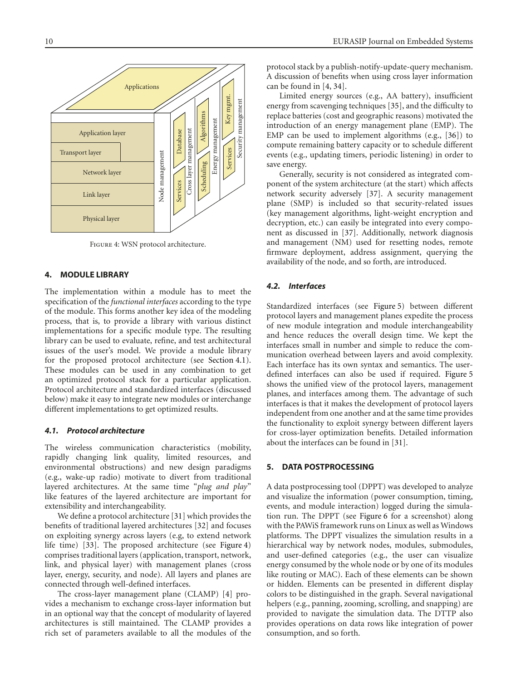

Figure 4: WSN protocol architecture.

## **4. MODULE LIBRARY**

The implementation within a module has to meet the specification of the *functional interfaces* according to the type of the module. This forms another key idea of the modeling process, that is, to provide a library with various distinct implementations for a specific module type. The resulting library can be used to evaluate, refine, and test architectural issues of the user's model. We provide a module library for the proposed protocol architecture (see Section 4.1). These modules can be used in any combination to get an optimized protocol stack for a particular application. Protocol architecture and standardized interfaces (discussed below) make it easy to integrate new modules or interchange different implementations to get optimized results.

#### *4.1. Protocol architecture*

The wireless communication characteristics (mobility, rapidly changing link quality, limited resources, and environmental obstructions) and new design paradigms (e.g., wake-up radio) motivate to divert from traditional layered architectures. At the same time "*plug and play*" like features of the layered architecture are important for extensibility and interchangeability.

We define a protocol architecture [31] which provides the benefits of traditional layered architectures [32] and focuses on exploiting synergy across layers (e.g, to extend network life time) [33]. The proposed architecture (see Figure 4) comprises traditional layers (application, transport, network, link, and physical layer) with management planes (cross layer, energy, security, and node). All layers and planes are connected through well-defined interfaces.

The cross-layer management plane (CLAMP) [4] provides a mechanism to exchange cross-layer information but in an optional way that the concept of modularity of layered architectures is still maintained. The CLAMP provides a rich set of parameters available to all the modules of the protocol stack by a publish-notify-update-query mechanism. A discussion of benefits when using cross layer information can be found in [4, 34].

Limited energy sources (e.g., AA battery), insufficient energy from scavenging techniques [35], and the difficulty to replace batteries (cost and geographic reasons) motivated the introduction of an energy management plane (EMP). The EMP can be used to implement algorithms (e.g., [36]) to compute remaining battery capacity or to schedule different events (e.g., updating timers, periodic listening) in order to save energy.

Generally, security is not considered as integrated component of the system architecture (at the start) which affects network security adversely [37]. A security management plane (SMP) is included so that security-related issues (key management algorithms, light-weight encryption and decryption, etc.) can easily be integrated into every component as discussed in [37]. Additionally, network diagnosis and management (NM) used for resetting nodes, remote firmware deployment, address assignment, querying the availability of the node, and so forth, are introduced.

## *4.2. Interfaces*

Standardized interfaces (see Figure 5) between different protocol layers and management planes expedite the process of new module integration and module interchangeability and hence reduces the overall design time. We kept the interfaces small in number and simple to reduce the communication overhead between layers and avoid complexity. Each interface has its own syntax and semantics. The userdefined interfaces can also be used if required. Figure 5 shows the unified view of the protocol layers, management planes, and interfaces among them. The advantage of such interfaces is that it makes the development of protocol layers independent from one another and at the same time provides the functionality to exploit synergy between different layers for cross-layer optimization benefits. Detailed information about the interfaces can be found in [31].

## **5. DATA POSTPROCESSING**

A data postprocessing tool (DPPT) was developed to analyze and visualize the information (power consumption, timing, events, and module interaction) logged during the simulation run. The DPPT (see Figure 6 for a screenshot) along with the PAWiS framework runs on Linux as well as Windows platforms. The DPPT visualizes the simulation results in a hierarchical way by network nodes, modules, submodules, and user-defined categories (e.g., the user can visualize energy consumed by the whole node or by one of its modules like routing or MAC). Each of these elements can be shown or hidden. Elements can be presented in different display colors to be distinguished in the graph. Several navigational helpers (e.g., panning, zooming, scrolling, and snapping) are provided to navigate the simulation data. The DTTP also provides operations on data rows like integration of power consumption, and so forth.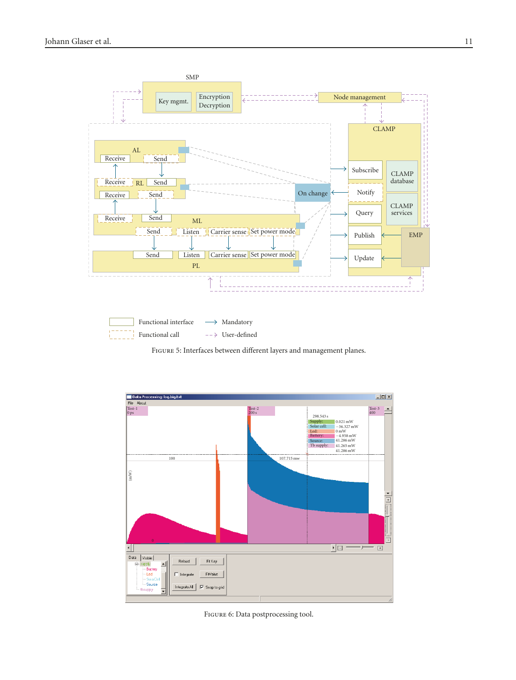

Figure 5: Interfaces between different layers and management planes.



FIGURE 6: Data postprocessing tool.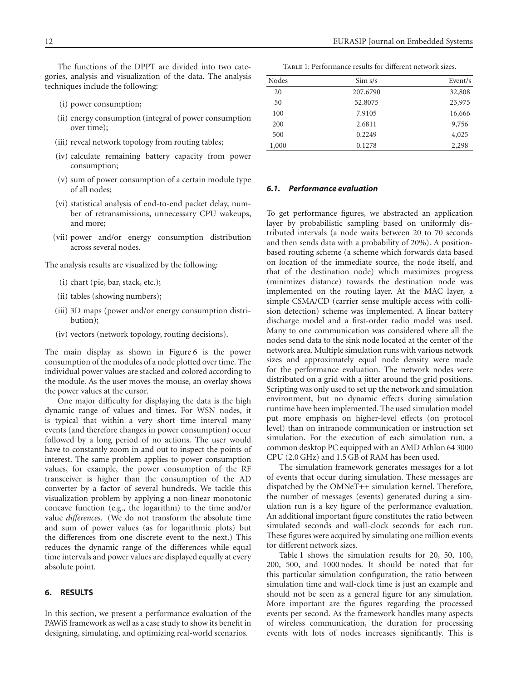The functions of the DPPT are divided into two categories, analysis and visualization of the data. The analysis techniques include the following:

- (i) power consumption;
- (ii) energy consumption (integral of power consumption over time);
- (iii) reveal network topology from routing tables;
- (iv) calculate remaining battery capacity from power consumption;
- (v) sum of power consumption of a certain module type of all nodes;
- (vi) statistical analysis of end-to-end packet delay, number of retransmissions, unnecessary CPU wakeups, and more;
- (vii) power and/or energy consumption distribution across several nodes.

The analysis results are visualized by the following:

- (i) chart (pie, bar, stack, etc.);
- (ii) tables (showing numbers);
- (iii) 3D maps (power and/or energy consumption distribution);
- (iv) vectors (network topology, routing decisions).

The main display as shown in Figure 6 is the power consumption of the modules of a node plotted over time. The individual power values are stacked and colored according to the module. As the user moves the mouse, an overlay shows the power values at the cursor.

One major difficulty for displaying the data is the high dynamic range of values and times. For WSN nodes, it is typical that within a very short time interval many events (and therefore changes in power consumption) occur followed by a long period of no actions. The user would have to constantly zoom in and out to inspect the points of interest. The same problem applies to power consumption values, for example, the power consumption of the RF transceiver is higher than the consumption of the AD converter by a factor of several hundreds. We tackle this visualization problem by applying a non-linear monotonic concave function (e.g., the logarithm) to the time and/or value *differences*. (We do not transform the absolute time and sum of power values (as for logarithmic plots) but the differences from one discrete event to the next.) This reduces the dynamic range of the differences while equal time intervals and power values are displayed equally at every absolute point.

#### **6. RESULTS**

In this section, we present a performance evaluation of the PAWiS framework as well as a case study to show its benefit in designing, simulating, and optimizing real-world scenarios.

| Nodes | $\rm Sim$ s/s | Event/s |
|-------|---------------|---------|
| 20    | 207.6790      | 32,808  |
| 50    | 52.8075       | 23,975  |
| 100   | 7.9105        | 16,666  |
| 200   | 2.6811        | 9,756   |
| 500   | 0.2249        | 4,025   |
| 1,000 | 0.1278        | 2,298   |

Table 1: Performance results for different network sizes.

#### *6.1. Performance evaluation*

To get performance figures, we abstracted an application layer by probabilistic sampling based on uniformly distributed intervals (a node waits between 20 to 70 seconds and then sends data with a probability of 20%). A positionbased routing scheme (a scheme which forwards data based on location of the immediate source, the node itself, and that of the destination node) which maximizes progress (minimizes distance) towards the destination node was implemented on the routing layer. At the MAC layer, a simple CSMA/CD (carrier sense multiple access with collision detection) scheme was implemented. A linear battery discharge model and a first-order radio model was used. Many to one communication was considered where all the nodes send data to the sink node located at the center of the network area. Multiple simulation runs with various network sizes and approximately equal node density were made for the performance evaluation. The network nodes were distributed on a grid with a jitter around the grid positions. Scripting was only used to set up the network and simulation environment, but no dynamic effects during simulation runtime have been implemented. The used simulation model put more emphasis on higher-level effects (on protocol level) than on intranode communication or instruction set simulation. For the execution of each simulation run, a common desktop PC equipped with an AMD Athlon 64 3000 CPU (2.0 GHz) and 1.5 GB of RAM has been used.

The simulation framework generates messages for a lot of events that occur during simulation. These messages are dispatched by the OMNeT++ simulation kernel. Therefore, the number of messages (events) generated during a simulation run is a key figure of the performance evaluation. An additional important figure constitutes the ratio between simulated seconds and wall-clock seconds for each run. These figures were acquired by simulating one million events for different network sizes.

Table 1 shows the simulation results for 20, 50, 100, 200, 500, and 1000 nodes. It should be noted that for this particular simulation configuration, the ratio between simulation time and wall-clock time is just an example and should not be seen as a general figure for any simulation. More important are the figures regarding the processed events per second. As the framework handles many aspects of wireless communication, the duration for processing events with lots of nodes increases significantly. This is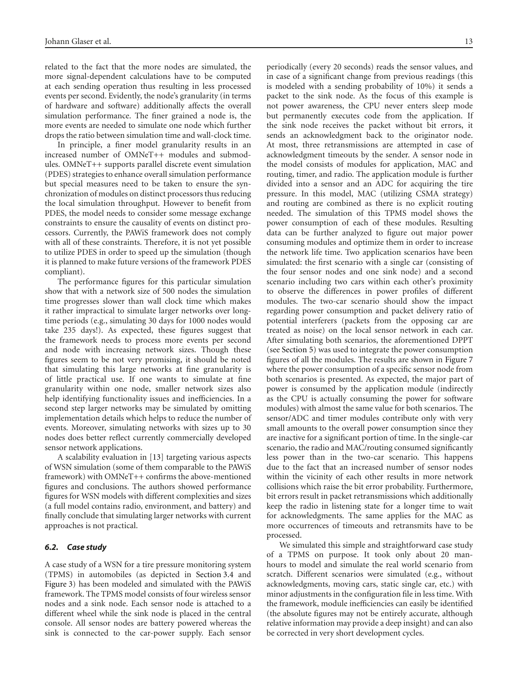related to the fact that the more nodes are simulated, the more signal-dependent calculations have to be computed at each sending operation thus resulting in less processed events per second. Evidently, the node's granularity (in terms of hardware and software) additionally affects the overall simulation performance. The finer grained a node is, the more events are needed to simulate one node which further drops the ratio between simulation time and wall-clock time.

In principle, a finer model granularity results in an increased number of OMNeT++ modules and submodules. OMNeT++ supports parallel discrete event simulation (PDES) strategies to enhance overall simulation performance but special measures need to be taken to ensure the synchronization of modules on distinct processors thus reducing the local simulation throughput. However to benefit from PDES, the model needs to consider some message exchange constraints to ensure the causality of events on distinct processors. Currently, the PAWiS framework does not comply with all of these constraints. Therefore, it is not yet possible to utilize PDES in order to speed up the simulation (though it is planned to make future versions of the framework PDES compliant).

The performance figures for this particular simulation show that with a network size of 500 nodes the simulation time progresses slower than wall clock time which makes it rather impractical to simulate larger networks over longtime periods (e.g., simulating 30 days for 1000 nodes would take 235 days!). As expected, these figures suggest that the framework needs to process more events per second and node with increasing network sizes. Though these figures seem to be not very promising, it should be noted that simulating this large networks at fine granularity is of little practical use. If one wants to simulate at fine granularity within one node, smaller network sizes also help identifying functionality issues and inefficiencies. In a second step larger networks may be simulated by omitting implementation details which helps to reduce the number of events. Moreover, simulating networks with sizes up to 30 nodes does better reflect currently commercially developed sensor network applications.

A scalability evaluation in [13] targeting various aspects of WSN simulation (some of them comparable to the PAWiS framework) with OMNeT++ confirms the above-mentioned figures and conclusions. The authors showed performance figures for WSN models with different complexities and sizes (a full model contains radio, environment, and battery) and finally conclude that simulating larger networks with current approaches is not practical.

#### *6.2. Case study*

A case study of a WSN for a tire pressure monitoring system (TPMS) in automobiles (as depicted in Section 3.4 and Figure 3) has been modeled and simulated with the PAWiS framework. The TPMS model consists of four wireless sensor nodes and a sink node. Each sensor node is attached to a different wheel while the sink node is placed in the central console. All sensor nodes are battery powered whereas the sink is connected to the car-power supply. Each sensor

periodically (every 20 seconds) reads the sensor values, and in case of a significant change from previous readings (this is modeled with a sending probability of 10%) it sends a packet to the sink node. As the focus of this example is not power awareness, the CPU never enters sleep mode but permanently executes code from the application. If the sink node receives the packet without bit errors, it sends an acknowledgment back to the originator node. At most, three retransmissions are attempted in case of acknowledgment timeouts by the sender. A sensor node in the model consists of modules for application, MAC and routing, timer, and radio. The application module is further divided into a sensor and an ADC for acquiring the tire pressure. In this model, MAC (utilizing CSMA strategy) and routing are combined as there is no explicit routing needed. The simulation of this TPMS model shows the power consumption of each of these modules. Resulting data can be further analyzed to figure out major power consuming modules and optimize them in order to increase the network life time. Two application scenarios have been simulated: the first scenario with a single car (consisting of the four sensor nodes and one sink node) and a second scenario including two cars within each other's proximity to observe the differences in power profiles of different modules. The two-car scenario should show the impact regarding power consumption and packet delivery ratio of potential interferers (packets from the opposing car are treated as noise) on the local sensor network in each car. After simulating both scenarios, the aforementioned DPPT (see Section 5) was used to integrate the power consumption figures of all the modules. The results are shown in Figure 7 where the power consumption of a specific sensor node from both scenarios is presented. As expected, the major part of power is consumed by the application module (indirectly as the CPU is actually consuming the power for software modules) with almost the same value for both scenarios. The sensor/ADC and timer modules contribute only with very small amounts to the overall power consumption since they are inactive for a significant portion of time. In the single-car scenario, the radio and MAC/routing consumed significantly less power than in the two-car scenario. This happens due to the fact that an increased number of sensor nodes within the vicinity of each other results in more network collisions which raise the bit error probability. Furthermore, bit errors result in packet retransmissions which additionally keep the radio in listening state for a longer time to wait for acknowledgments. The same applies for the MAC as more occurrences of timeouts and retransmits have to be processed.

We simulated this simple and straightforward case study of a TPMS on purpose. It took only about 20 manhours to model and simulate the real world scenario from scratch. Different scenarios were simulated (e.g., without acknowledgments, moving cars, static single car, etc.) with minor adjustments in the configuration file in less time. With the framework, module inefficiencies can easily be identified (the absolute figures may not be entirely accurate, although relative information may provide a deep insight) and can also be corrected in very short development cycles.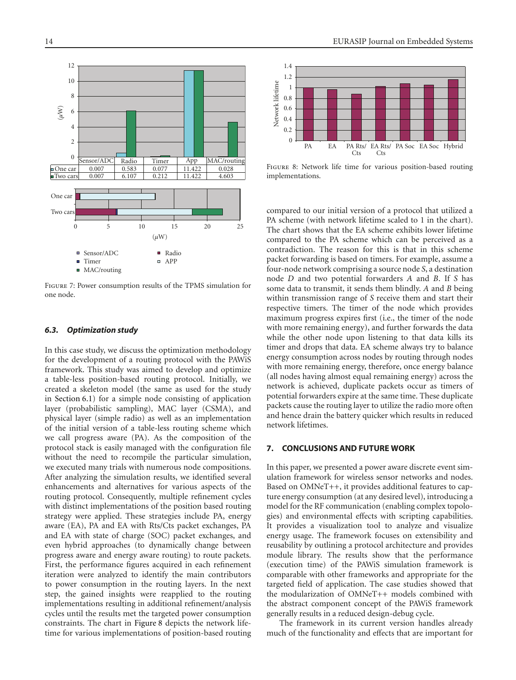

Figure 7: Power consumption results of the TPMS simulation for one node.

## *6.3. Optimization study*

In this case study, we discuss the optimization methodology for the development of a routing protocol with the PAWiS framework. This study was aimed to develop and optimize a table-less position-based routing protocol. Initially, we created a skeleton model (the same as used for the study in Section 6.1) for a simple node consisting of application layer (probabilistic sampling), MAC layer (CSMA), and physical layer (simple radio) as well as an implementation of the initial version of a table-less routing scheme which we call progress aware (PA). As the composition of the protocol stack is easily managed with the configuration file without the need to recompile the particular simulation, we executed many trials with numerous node compositions. After analyzing the simulation results, we identified several enhancements and alternatives for various aspects of the routing protocol. Consequently, multiple refinement cycles with distinct implementations of the position based routing strategy were applied. These strategies include PA, energy aware (EA), PA and EA with Rts/Cts packet exchanges, PA and EA with state of charge (SOC) packet exchanges, and even hybrid approaches (to dynamically change between progress aware and energy aware routing) to route packets. First, the performance figures acquired in each refinement iteration were analyzed to identify the main contributors to power consumption in the routing layers. In the next step, the gained insights were reapplied to the routing implementations resulting in additional refinement/analysis cycles until the results met the targeted power consumption constraints. The chart in Figure 8 depicts the network lifetime for various implementations of position-based routing



Figure 8: Network life time for various position-based routing implementations.

compared to our initial version of a protocol that utilized a PA scheme (with network lifetime scaled to 1 in the chart). The chart shows that the EA scheme exhibits lower lifetime compared to the PA scheme which can be perceived as a contradiction. The reason for this is that in this scheme packet forwarding is based on timers. For example, assume a four-node network comprising a source node *S*, a destination node *D* and two potential forwarders *A* and *B*. If *S* has some data to transmit, it sends them blindly. *A* and *B* being within transmission range of *S* receive them and start their respective timers. The timer of the node which provides maximum progress expires first (i.e., the timer of the node with more remaining energy), and further forwards the data while the other node upon listening to that data kills its timer and drops that data. EA scheme always try to balance energy consumption across nodes by routing through nodes with more remaining energy, therefore, once energy balance (all nodes having almost equal remaining energy) across the network is achieved, duplicate packets occur as timers of potential forwarders expire at the same time. These duplicate packets cause the routing layer to utilize the radio more often and hence drain the battery quicker which results in reduced network lifetimes.

#### **7. CONCLUSIONS AND FUTURE WORK**

In this paper, we presented a power aware discrete event simulation framework for wireless sensor networks and nodes. Based on OMNeT++, it provides additional features to capture energy consumption (at any desired level), introducing a model for the RF communication (enabling complex topologies) and environmental effects with scripting capabilities. It provides a visualization tool to analyze and visualize energy usage. The framework focuses on extensibility and reusability by outlining a protocol architecture and provides module library. The results show that the performance (execution time) of the PAWiS simulation framework is comparable with other frameworks and appropriate for the targeted field of application. The case studies showed that the modularization of OMNeT++ models combined with the abstract component concept of the PAWiS framework generally results in a reduced design-debug cycle.

The framework in its current version handles already much of the functionality and effects that are important for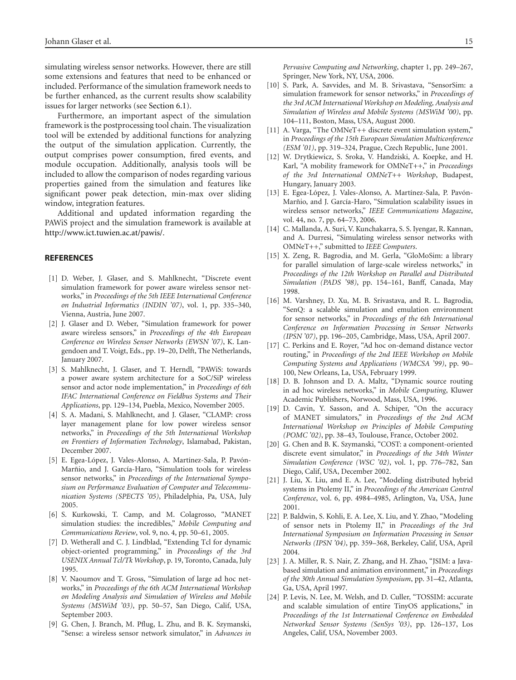simulating wireless sensor networks. However, there are still some extensions and features that need to be enhanced or included. Performance of the simulation framework needs to be further enhanced, as the current results show scalability issues for larger networks (see Section 6.1).

Furthermore, an important aspect of the simulation framework is the postprocessing tool chain. The visualization tool will be extended by additional functions for analyzing the output of the simulation application. Currently, the output comprises power consumption, fired events, and module occupation. Additionally, analysis tools will be included to allow the comparison of nodes regarding various properties gained from the simulation and features like significant power peak detection, min-max over sliding window, integration features.

Additional and updated information regarding the PAWiS project and the simulation framework is available at http://www.ict.tuwien.ac.at/pawis/.

#### **REFERENCES**

- [1] D. Weber, J. Glaser, and S. Mahlknecht, "Discrete event simulation framework for power aware wireless sensor networks," in *Proceedings of the 5th IEEE International Conference on Industrial Informatics (INDIN '07)*, vol. 1, pp. 335–340, Vienna, Austria, June 2007.
- [2] J. Glaser and D. Weber, "Simulation framework for power aware wireless sensors," in *Proceedings of the 4th European Conference on Wireless Sensor Networks (EWSN '07)*, K. Langendoen and T. Voigt, Eds., pp. 19–20, Delft, The Netherlands, January 2007.
- [3] S. Mahlknecht, J. Glaser, and T. Herndl, "PAWiS: towards a power aware system architecture for a SoC/SiP wireless sensor and actor node implementation," in *Proceedings of 6th IFAC International Conference on Fieldbus Systems and Their Applications*, pp. 129–134, Puebla, Mexico, November 2005.
- [4] S. A. Madani, S. Mahlknecht, and J. Glaser, "CLAMP: cross layer management plane for low power wireless sensor networks," in *Proceedings of the 5th International Workshop on Frontiers of Information Technology*, Islamabad, Pakistan, December 2007.
- [5] E. Egea-López, J. Vales-Alonso, A. Martínez-Sala, P. Pavón-Marñio, and J. García-Haro, "Simulation tools for wireless sensor networks," in *Proceedings of the International Symposium on Performance Evaluation of Computer and Telecommunication Systems (SPECTS '05)*, Philadelphia, Pa, USA, July 2005.
- [6] S. Kurkowski, T. Camp, and M. Colagrosso, "MANET simulation studies: the incredibles," *Mobile Computing and Communications Review*, vol. 9, no. 4, pp. 50–61, 2005.
- [7] D. Wetherall and C. J. Lindblad, "Extending Tcl for dynamic object-oriented programming," in *Proceedings of the 3rd USENIX Annual Tcl/Tk Workshop*, p. 19, Toronto, Canada, July 1995.
- [8] V. Naoumov and T. Gross, "Simulation of large ad hoc networks," in *Proceedings of the 6th ACM International Workshop on Modeling Analysis and Simulation of Wireless and Mobile Systems (MSWiM '03)*, pp. 50–57, San Diego, Calif, USA, September 2003.
- [9] G. Chen, J. Branch, M. Pflug, L. Zhu, and B. K. Szymanski, "Sense: a wireless sensor network simulator," in *Advances in*

*Pervasive Computing and Networking*, chapter 1, pp. 249–267, Springer, New York, NY, USA, 2006.

- [10] S. Park, A. Savvides, and M. B. Srivastava, "SensorSim: a simulation framework for sensor networks," in *Proceedings of the 3rd ACM International Workshop on Modeling, Analysis and Simulation of Wireless and Mobile Systems (MSWiM '00)*, pp. 104–111, Boston, Mass, USA, August 2000.
- [11] A. Varga, "The OMNeT++ discrete event simulation system," in *Proceedings of the 15th European Simulation Multiconference (ESM '01)*, pp. 319–324, Prague, Czech Republic, June 2001.
- [12] W. Drytkiewicz, S. Sroka, V. Handziski, A. Koepke, and H. Karl, "A mobility framework for OMNeT++," in *Proceedings of the 3rd International OMNeT++ Workshop*, Budapest, Hungary, January 2003.
- [13] E. Egea-López, J. Vales-Alonso, A. Martínez-Sala, P. Pavón-Marñio, and J. García-Haro, "Simulation scalability issues in wireless sensor networks," *IEEE Communications Magazine*, vol. 44, no. 7, pp. 64–73, 2006.
- [14] C. Mallanda, A. Suri, V. Kunchakarra, S. S. Iyengar, R. Kannan, and A. Durresi, "Simulating wireless sensor networks with OMNeT++," submitted to *IEEE Computers*.
- [15] X. Zeng, R. Bagrodia, and M. Gerla, "GloMoSim: a library for parallel simulation of large-scale wireless networks," in *Proceedings of the 12th Workshop on Parallel and Distributed Simulation (PADS '98)*, pp. 154–161, Banff, Canada, May 1998.
- [16] M. Varshney, D. Xu, M. B. Srivastava, and R. L. Bagrodia, "SenQ: a scalable simulation and emulation environment for sensor networks," in *Proceedings of the 6th International Conference on Information Processing in Sensor Networks (IPSN '07)*, pp. 196–205, Cambridge, Mass, USA, April 2007.
- [17] C. Perkins and E. Royer, "Ad hoc on-demand distance vector routing," in *Proceedings of the 2nd IEEE Workshop on Mobile Computing Systems and Applications (WMCSA '99)*, pp. 90– 100, New Orleans, La, USA, February 1999.
- [18] D. B. Johnson and D. A. Maltz, "Dynamic source routing in ad hoc wireless networks," in *Mobile Computing*, Kluwer Academic Publishers, Norwood, Mass, USA, 1996.
- [19] D. Cavin, Y. Sasson, and A. Schiper, "On the accuracy of MANET simulators," in *Proceedings of the 2nd ACM International Workshop on Principles of Mobile Computing (POMC '02)*, pp. 38–43, Toulouse, France, October 2002.
- [20] G. Chen and B. K. Szymanski, "COST: a component-oriented discrete event simulator," in *Proceedings of the 34th Winter Simulation Conference (WSC '02)*, vol. 1, pp. 776–782, San Diego, Calif, USA, December 2002.
- [21] J. Liu, X. Liu, and E. A. Lee, "Modeling distributed hybrid systems in Ptolemy II," in *Proceedings of the American Control Conference*, vol. 6, pp. 4984–4985, Arlington, Va, USA, June 2001.
- [22] P. Baldwin, S. Kohli, E. A. Lee, X. Liu, and Y. Zhao, "Modeling of sensor nets in Ptolemy II," in *Proceedings of the 3rd International Symposium on Information Processing in Sensor Networks (IPSN '04)*, pp. 359–368, Berkeley, Calif, USA, April 2004.
- [23] J. A. Miller, R. S. Nair, Z. Zhang, and H. Zhao, "JSIM: a Javabased simulation and animation environment," in *Proceedings of the 30th Annual Simulation Symposium*, pp. 31–42, Atlanta, Ga, USA, April 1997.
- [24] P. Levis, N. Lee, M. Welsh, and D. Culler, "TOSSIM: accurate and scalable simulation of entire TinyOS applications," in *Proceedings of the 1st International Conference on Embedded Networked Sensor Systems (SenSys '03)*, pp. 126–137, Los Angeles, Calif, USA, November 2003.